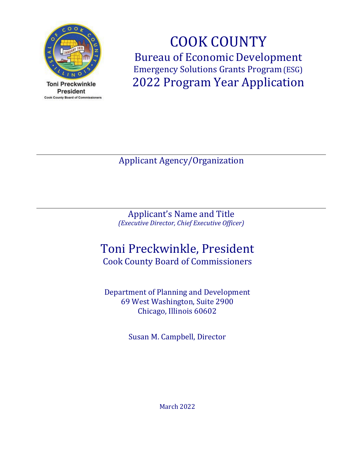

**Toni Preckwinkle President Cook County Board of Commissioners** 

COOK COUNTY Bureau of Economic Development Emergency Solutions Grants Program(ESG) 2022 Program Year Application

Applicant Agency/Organization

Applicant's Name and Title *(Executive Director, Chief Executive Officer)*

# Toni Preckwinkle, President

Cook County Board of Commissioners

Department of Planning and Development 69 West Washington, Suite 2900 Chicago, Illinois 60602

Susan M. Campbell, Director

March 2022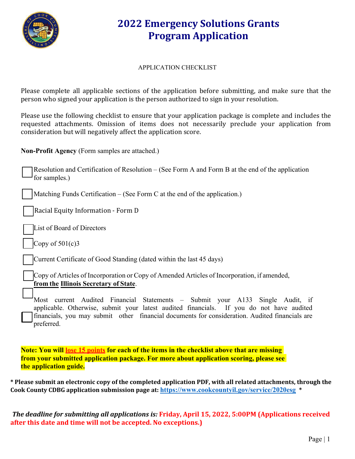

#### APPLICATION CHECKLIST

Please complete all applicable sections of the application before submitting, and make sure that the person who signed your application is the person authorized to sign in your resolution.

Please use the following checklist to ensure that your application package is complete and includes the requested attachments. Omission of items does not necessarily preclude your application from consideration but will negatively affect the application score.

**Non-Profit Agency** (Form samples are attached.)

Resolution and Certification of Resolution – (See Form A and Form B at the end of the application for samples.)

Matching Funds Certification  $-$  (See Form C at the end of the application.)

Racial Equity Information ‐ Form D

List of Board of Directors

Copy of  $501(c)3$ 

Current Certificate of Good Standing (dated within the last 45 days)

Copy of Articles of Incorporation or Copy of Amended Articles of Incorporation, if amended, **from the Illinois Secretary of State**.

Most current Audited Financial Statements – Submit your A133 Single Audit, if applicable. Otherwise, submit your latest audited financials. If you do not have audited financials, you may submit other financial documents for consideration. Audited financials are preferred.

**Note: You will lose 15 points for each of the items in the checklist above that are missing from your submitted application package. For more about application scoring, please see the application guide.**

**\* Please submit an electronic copy of the completed application PDF, with all related attachments, through the Cook County CDBG application submission page at: <https://www.cookcountyil.gov/service/2020esg> \***

*The deadline for submitting all applications is:* **Friday, April 15, 2022, 5:00PM (Applications received after this date and time will not be accepted. No exceptions.)**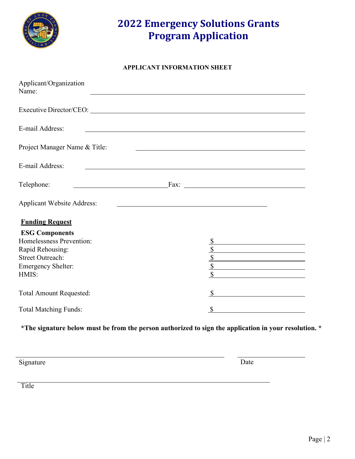

#### **APPLICANT INFORMATION SHEET**

| Applicant/Organization<br>Name:              |                                                                                                                                       |
|----------------------------------------------|---------------------------------------------------------------------------------------------------------------------------------------|
| Executive Director/CEO: New York 2014        |                                                                                                                                       |
| E-mail Address:                              | <u> 1989 - Johann Stoff, deutscher Stoffen und der Stoffen und der Stoffen und der Stoffen und der Stoffen und der</u>                |
| Project Manager Name & Title:                |                                                                                                                                       |
| E-mail Address:                              |                                                                                                                                       |
| Telephone:                                   |                                                                                                                                       |
| <b>Applicant Website Address:</b>            |                                                                                                                                       |
| <b>Funding Request</b>                       |                                                                                                                                       |
| <b>ESG Components</b>                        |                                                                                                                                       |
| Homelessness Prevention:<br>Rapid Rehousing: |                                                                                                                                       |
| <b>Street Outreach:</b>                      | <u> 1980 - Johann Barn, fransk politik (</u><br>$\sqrt{\ }$                                                                           |
| <b>Emergency Shelter:</b>                    | $\overline{\mathcal{S}}$                                                                                                              |
| HMIS:                                        | $\mathbb{S}$                                                                                                                          |
| <b>Total Amount Requested:</b>               |                                                                                                                                       |
| <b>Total Matching Funds:</b>                 | $\mathcal{S}$<br><u> 1989 - Jan Stein Stein Stein Stein Stein Stein Stein Stein Stein Stein Stein Stein Stein Stein Stein Stein S</u> |

**\*The signature below must be from the person authorized to sign the application in your resolution. \***

Signature Date

**Title**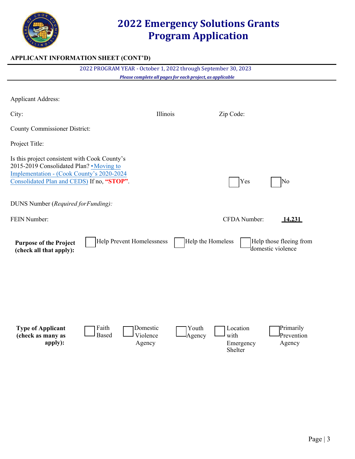

#### **APPLICANT INFORMATION SHEET (CONT'D)**

|                                                                                                                                                                                                                             | 2022 PROGRAM YEAR - October 1, 2022 through September 30, 2023 | Please complete all pages for each project, as applicable |                               |                                              |
|-----------------------------------------------------------------------------------------------------------------------------------------------------------------------------------------------------------------------------|----------------------------------------------------------------|-----------------------------------------------------------|-------------------------------|----------------------------------------------|
|                                                                                                                                                                                                                             |                                                                |                                                           |                               |                                              |
| <b>Applicant Address:</b>                                                                                                                                                                                                   |                                                                |                                                           |                               |                                              |
| City:                                                                                                                                                                                                                       |                                                                | Illinois                                                  | Zip Code:                     |                                              |
| <b>County Commissioner District:</b>                                                                                                                                                                                        |                                                                |                                                           |                               |                                              |
| Project Title:                                                                                                                                                                                                              |                                                                |                                                           |                               |                                              |
| Is this project consistent with Cook County's<br>2015-2019 Consolidated Plan? • Moving to<br>Implementation - (Cook County's 2020-2024<br>Consolidated Plan and CEDS) If no, "STOP".<br>DUNS Number (Required for Funding): |                                                                |                                                           | Yes                           | No                                           |
|                                                                                                                                                                                                                             |                                                                |                                                           |                               |                                              |
| FEIN Number:                                                                                                                                                                                                                |                                                                |                                                           | CFDA Number:                  | 14.231                                       |
| <b>Purpose of the Project</b><br>(check all that apply):                                                                                                                                                                    | <b>Help Prevent Homelessness</b>                               |                                                           | Help the Homeless             | Help those fleeing from<br>domestic violence |
| <b>Type of Applicant</b><br>(check as many as<br>apply):                                                                                                                                                                    | Faith<br>Domestic<br><b>Based</b><br>Violence<br>Agency        | Youth<br>Agency                                           | Location<br>with<br>Emergency | Primarily<br>Prevention<br>Agency            |

Shelter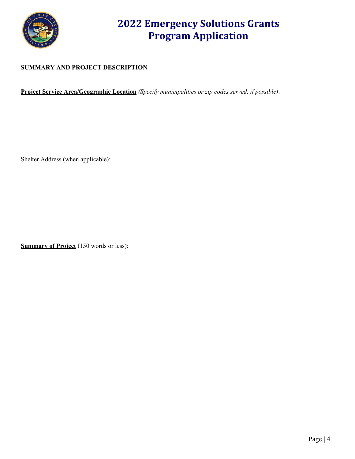

#### **SUMMARY AND PROJECT DESCRIPTION**

**Project Service Area/Geographic Location** *(Specify municipalities or zip codes served, if possible)*:

Shelter Address (when applicable):

**Summary of Project** (150 words or less):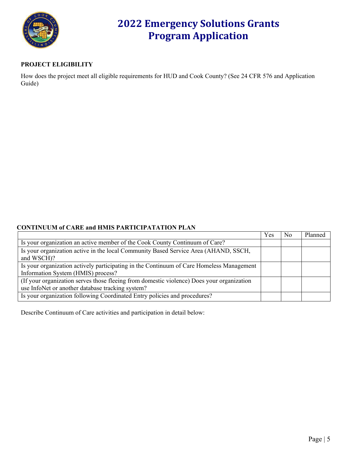

#### **PROJECT ELIGIBILITY**

How does the project meet all eligible requirements for HUD and Cook County? (See 24 CFR 576 and Application Guide)

#### **CONTINUUM of CARE and HMIS PARTICIPATATION PLAN**

|                                                                                           | Yes | N <sub>o</sub> | Planned |
|-------------------------------------------------------------------------------------------|-----|----------------|---------|
| Is your organization an active member of the Cook County Continuum of Care?               |     |                |         |
| Is your organization active in the local Community Based Service Area (AHAND, SSCH,       |     |                |         |
| and WSCH)?                                                                                |     |                |         |
| Is your organization actively participating in the Continuum of Care Homeless Management  |     |                |         |
| Information System (HMIS) process?                                                        |     |                |         |
| (If your organization serves those fleeing from domestic violence) Does your organization |     |                |         |
| use InfoNet or another database tracking system?                                          |     |                |         |
| Is your organization following Coordinated Entry policies and procedures?                 |     |                |         |

Describe Continuum of Care activities and participation in detail below: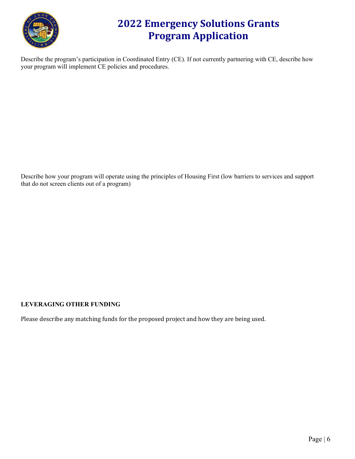

Describe the program's participation in Coordinated Entry (CE). If not currently partnering with CE, describe how your program will implement CE policies and procedures.

Describe how your program will operate using the principles of Housing First (low barriers to services and support that do not screen clients out of a program)

#### **LEVERAGING OTHER FUNDING**

Please describe any matching funds for the proposed project and how they are being used.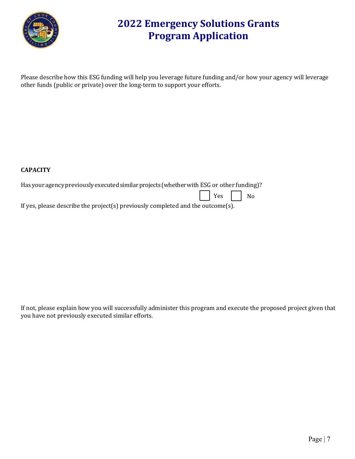

Please describe how this ESG funding will help you leverage future funding and/or how your agency will leverage other funds (public or private) over the long-term to support your efforts.

#### **CAPACITY**

Has your agency previously executed similar projects (whether with ESG or other funding)?

Yes | | No

If yes, please describe the project(s) previously completed and the outcome(s).

If not, please explain how you will successfully administer this program and execute the proposed project given that you have not previously executed similar efforts.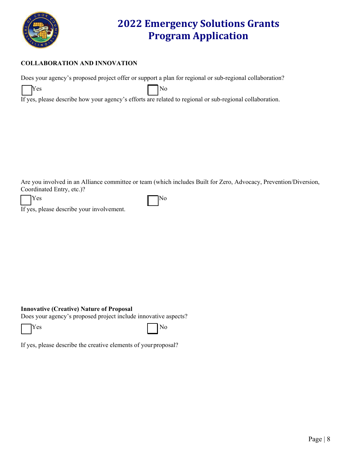

#### **COLLABORATION AND INNOVATION**

Does your agency's proposed project offer or support a plan for regional or sub-regional collaboration?

| Yes | $\overline{\rm No}$ |  |
|-----|---------------------|--|
|-----|---------------------|--|

If yes, please describe how your agency's efforts are related to regional or sub-regional collaboration.

Are you involved in an Alliance committee or team (which includes Built for Zero, Advocacy, Prevention/Diversion, Coordinated Entry, etc.)?

|--|--|--|

 $\Gamma$  No  $\Gamma$  No

If yes, please describe your involvement.

#### **Innovative (Creative) Nature of Proposal**

Does your agency's proposed project include innovative aspects?

Yes No

If yes, please describe the creative elements of yourproposal?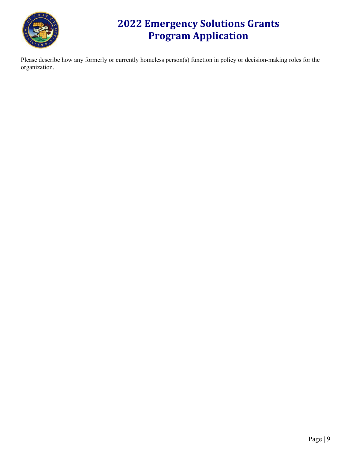

Please describe how any formerly or currently homeless person(s) function in policy or decision-making roles for the organization.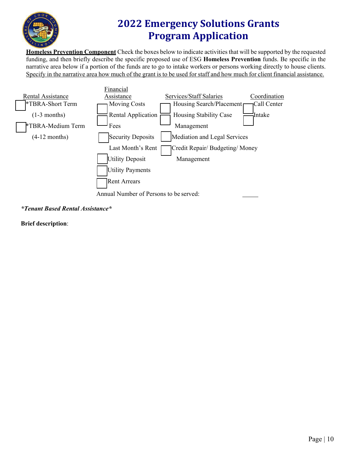

**Homeless Prevention Component** Check the boxes below to indicate activities that will be supported by the requested funding, and then briefly describe the specific proposed use of ESG **Homeless Prevention** funds. Be specific in the narrative area below if a portion of the funds are to go to intake workers or persons working directly to house clients. Specify in the narrative area how much of the grant is to be used for staff and how much for client financial assistance.



*\*Tenant Based Rental Assistance\**

**Brief description**: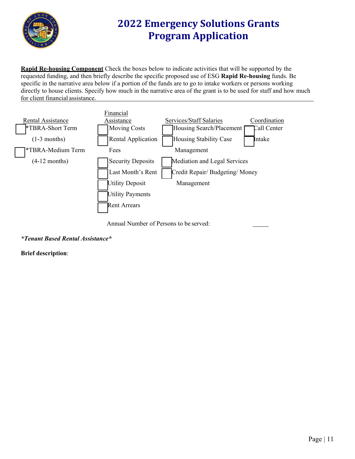

**Rapid Re-housing Component** Check the boxes below to indicate activities that will be supported by the requested funding, and then briefly describe the specific proposed use of ESG **Rapid Re-housing** funds. Be specific in the narrative area below if a portion of the funds are to go to intake workers or persons working directly to house clients. Specify how much in the narrative area of the grant is to be used for staff and how much for client financial assistance.





*\*Tenant Based Rental Assistance\**

**Brief description**: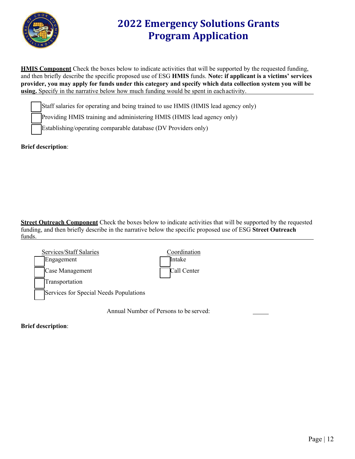

**HMIS Component** Check the boxes below to indicate activities that will be supported by the requested funding, and then briefly describe the specific proposed use of ESG **HMIS** funds. **Note: if applicant is a victims' services provider, you may apply for funds under this category and specify which data collection system you will be using.** Specify in the narrative below how much funding would be spent in eachactivity.

Staff salaries for operating and being trained to use HMIS (HMIS lead agency only)

Providing HMIS training and administering HMIS (HMIS lead agency only)

Establishing/operating comparable database (DV Providers only)

#### **Brief description**:

**Street Outreach Component** Check the boxes below to indicate activities that will be supported by the requested funding, and then briefly describe in the narrative below the specific proposed use of ESG **Street Outreach** funds.

| Services/Staff Salaries                | Coordination |
|----------------------------------------|--------------|
| Engagement                             | Intake       |
| Case Management                        | Call Center  |
| Transportation                         |              |
| Services for Special Needs Populations |              |

Annual Number of Persons to be served:

**Brief description**: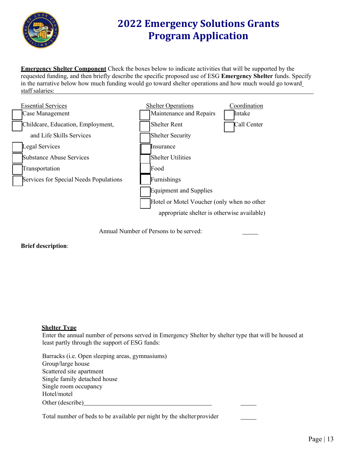

**Emergency Shelter Component** Check the boxes below to indicate activities that will be supported by the requested funding, and then briefly describe the specific proposed use of ESG **Emergency Shelter** funds. Specify in the narrative below how much funding would go toward shelter operations and how much would go toward staff salaries:



Annual Number of Persons to be served:

#### **Brief description**:

#### **Shelter Type**

Enter the annual number of persons served in Emergency Shelter by shelter type that will be housed at least partly through the support of ESG funds:

Barracks (i.e. Open sleeping areas, gymnasiums) Group/large house Scattered site apartment Single family detached house Single room occupancy Hotel/motel Other (describe)

Total number of beds to be available per night by the shelter provider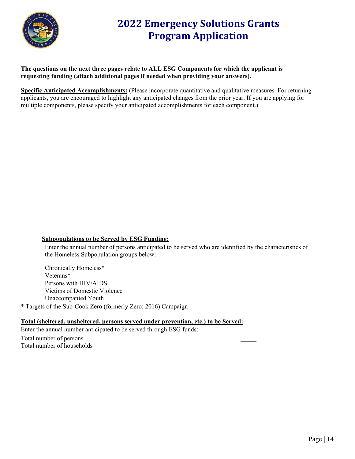

**The questions on the next three pages relate to ALL ESG Components for which the applicant is requesting funding (attach additional pages if needed when providing your answers).**

**Specific Anticipated Accomplishments:** (Please incorporate quantitative and qualitative measures. For returning applicants, you are encouraged to highlight any anticipated changes from the prior year. If you are applying for multiple components, please specify your anticipated accomplishments for each component.)

#### **Subpopulations to be Served by ESG Funding:**

Enter the annual number of persons anticipated to be served who are identified by the characteristics of the Homeless Subpopulation groups below:

Chronically Homeless\* Veterans\* Persons with HIV/AIDS Victims of Domestic Violence Unaccompanied Youth

\* Targets of the Sub-Cook Zero (formerly Zero: 2016) Campaign

#### **Total (sheltered, unsheltered, persons served under prevention, etc.) to be Served:**

Enter the annual number anticipated to be served through ESG funds:

Total number of persons Total number of households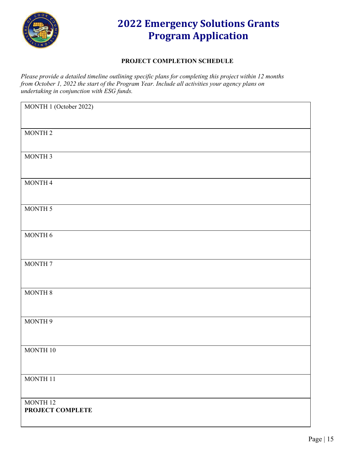

#### **PROJECT COMPLETION SCHEDULE**

*Please provide a detailed timeline outlining specific plans for completing this project within 12 months from October 1, 2022 the start of the Program Year. Include all activities your agency plans on undertaking in conjunction with ESG funds.*

| MONTH 1 (October 2022) |
|------------------------|
|                        |
| MONTH <sub>2</sub>     |
|                        |
|                        |
| MONTH 3                |
|                        |
| MONTH 4                |
|                        |
|                        |
| MONTH 5                |
|                        |
| MONTH 6                |
|                        |
|                        |
| MONTH 7                |
|                        |
|                        |
| MONTH 8                |
|                        |
|                        |
| MONTH 9                |
|                        |
| MONTH 10               |
|                        |
|                        |
| $\rm{MONTH}$ 11        |
|                        |
| MONTH 12               |
| PROJECT COMPLETE       |
|                        |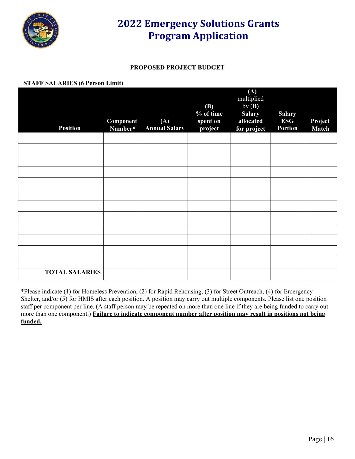

#### **PROPOSED PROJECT BUDGET**

#### **STAFF SALARIES (6 Person Limit)**

| <b>Position</b>       | Component<br>Number* | (A)<br><b>Annual Salary</b> | <b>(B)</b><br>% of time<br>spent on<br>project | (A)<br>multiplied<br>by $(B)$<br><b>Salary</b><br>allocated<br>for project | <b>Salary</b><br><b>ESG</b><br><b>Portion</b> | Project<br><b>Match</b> |
|-----------------------|----------------------|-----------------------------|------------------------------------------------|----------------------------------------------------------------------------|-----------------------------------------------|-------------------------|
|                       |                      |                             |                                                |                                                                            |                                               |                         |
|                       |                      |                             |                                                |                                                                            |                                               |                         |
|                       |                      |                             |                                                |                                                                            |                                               |                         |
|                       |                      |                             |                                                |                                                                            |                                               |                         |
|                       |                      |                             |                                                |                                                                            |                                               |                         |
|                       |                      |                             |                                                |                                                                            |                                               |                         |
|                       |                      |                             |                                                |                                                                            |                                               |                         |
|                       |                      |                             |                                                |                                                                            |                                               |                         |
|                       |                      |                             |                                                |                                                                            |                                               |                         |
|                       |                      |                             |                                                |                                                                            |                                               |                         |
|                       |                      |                             |                                                |                                                                            |                                               |                         |
|                       |                      |                             |                                                |                                                                            |                                               |                         |
| <b>TOTAL SALARIES</b> |                      |                             |                                                |                                                                            |                                               |                         |

\*Please indicate (1) for Homeless Prevention, (2) for Rapid Rehousing, (3) for Street Outreach, (4) for Emergency Shelter, and/or (5) for HMIS after each position. A position may carry out multiple components. Please list one position staff per component per line. (A staff person may be repeated on more than one line if they are being funded to carry out more than one component.) **Failure to indicate component number after position may result in positions not being funded.**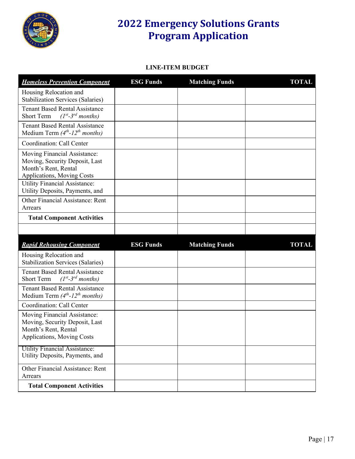

#### **LINE-ITEM BUDGET**

| <b>Homeless Prevention Component</b>                                                                                 | <b>ESG Funds</b> | <b>Matching Funds</b> | <b>TOTAL</b> |
|----------------------------------------------------------------------------------------------------------------------|------------------|-----------------------|--------------|
| Housing Relocation and<br><b>Stabilization Services (Salaries)</b>                                                   |                  |                       |              |
| <b>Tenant Based Rental Assistance</b><br>$(I^{st}$ -3 <sup>rd</sup> months)<br><b>Short Term</b>                     |                  |                       |              |
| <b>Tenant Based Rental Assistance</b><br>Medium Term $(4th-12th months)$                                             |                  |                       |              |
| Coordination: Call Center                                                                                            |                  |                       |              |
| Moving Financial Assistance:<br>Moving, Security Deposit, Last<br>Month's Rent, Rental<br>Applications, Moving Costs |                  |                       |              |
| <b>Utility Financial Assistance:</b><br>Utility Deposits, Payments, and                                              |                  |                       |              |
| Other Financial Assistance: Rent<br>Arrears                                                                          |                  |                       |              |
| <b>Total Component Activities</b>                                                                                    |                  |                       |              |
|                                                                                                                      |                  |                       |              |
|                                                                                                                      |                  |                       |              |
| <b>Rapid Rehousing Component</b>                                                                                     | <b>ESG Funds</b> | <b>Matching Funds</b> | <b>TOTAL</b> |
| Housing Relocation and<br><b>Stabilization Services (Salaries)</b>                                                   |                  |                       |              |
| <b>Tenant Based Rental Assistance</b><br>$(I^{st}$ -3 <sup>rd</sup> months)<br><b>Short Term</b>                     |                  |                       |              |
| <b>Tenant Based Rental Assistance</b><br>Medium Term $(4th-12th months)$                                             |                  |                       |              |
| Coordination: Call Center                                                                                            |                  |                       |              |
| Moving Financial Assistance:<br>Moving, Security Deposit, Last<br>Month's Rent, Rental<br>Applications, Moving Costs |                  |                       |              |
| <b>Utility Financial Assistance:</b><br>Utility Deposits, Payments, and                                              |                  |                       |              |
| Other Financial Assistance: Rent<br>Arrears                                                                          |                  |                       |              |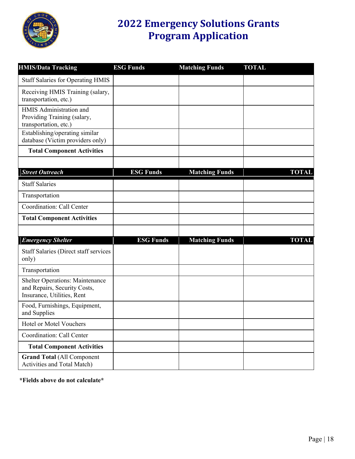

| <b>HMIS/Data Tracking</b>                                                                            | <b>ESG Funds</b> | <b>Matching Funds</b> | <b>TOTAL</b> |
|------------------------------------------------------------------------------------------------------|------------------|-----------------------|--------------|
| <b>Staff Salaries for Operating HMIS</b>                                                             |                  |                       |              |
| Receiving HMIS Training (salary,<br>transportation, etc.)                                            |                  |                       |              |
| HMIS Administration and<br>Providing Training (salary,<br>transportation, etc.)                      |                  |                       |              |
| Establishing/operating similar<br>database (Victim providers only)                                   |                  |                       |              |
| <b>Total Component Activities</b>                                                                    |                  |                       |              |
|                                                                                                      |                  |                       |              |
| <b>Street Outreach</b>                                                                               | <b>ESG Funds</b> | <b>Matching Funds</b> | <b>TOTAL</b> |
| <b>Staff Salaries</b>                                                                                |                  |                       |              |
| Transportation                                                                                       |                  |                       |              |
| Coordination: Call Center                                                                            |                  |                       |              |
| <b>Total Component Activities</b>                                                                    |                  |                       |              |
|                                                                                                      |                  |                       |              |
| <b>Emergency Shelter</b>                                                                             | <b>ESG Funds</b> | <b>Matching Funds</b> | <b>TOTAL</b> |
| <b>Staff Salaries (Direct staff services</b><br>only)                                                |                  |                       |              |
| Transportation                                                                                       |                  |                       |              |
| <b>Shelter Operations: Maintenance</b><br>and Repairs, Security Costs,<br>Insurance, Utilities, Rent |                  |                       |              |
| Food, Furnishings, Equipment,<br>and Supplies                                                        |                  |                       |              |
| Hotel or Motel Vouchers                                                                              |                  |                       |              |
| Coordination: Call Center                                                                            |                  |                       |              |
| <b>Total Component Activities</b>                                                                    |                  |                       |              |
| <b>Grand Total (All Component</b><br>Activities and Total Match)                                     |                  |                       |              |

**\*Fields above do not calculate\***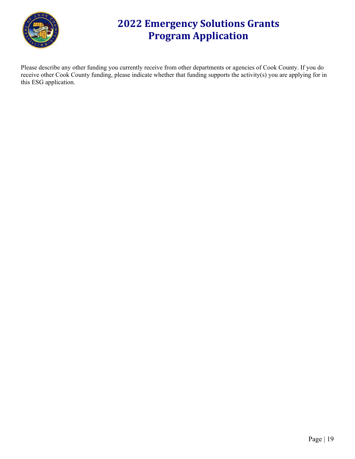

Please describe any other funding you currently receive from other departments or agencies of Cook County. If you do receive other Cook County funding, please indicate whether that funding supports the activity(s) you are applying for in this ESG application.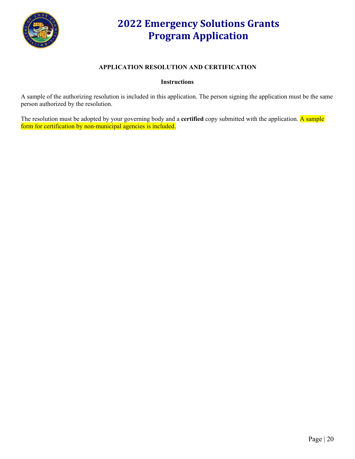

#### **APPLICATION RESOLUTION AND CERTIFICATION**

#### **Instructions**

A sample of the authorizing resolution is included in this application. The person signing the application must be the same person authorized by the resolution.

The resolution must be adopted by your governing body and a **certified** copy submitted with the application. A sample form for certification by non-municipal agencies is included.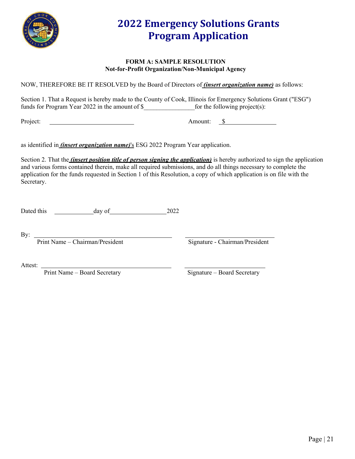

#### **FORM A: SAMPLE RESOLUTION Not-for-Profit Organization/Non-Municipal Agency**

NOW, THEREFORE BE IT RESOLVED by the Board of Directors of *(insert organization name)* as follows:

Section 1. That a Request is hereby made to the County of Cook, Illinois for Emergency Solutions Grant ("ESG") funds for Program Year 2022 in the amount of \$\_\_\_\_\_\_\_\_\_\_\_\_\_\_\_\_for the following project(s):

Project: Samount: Samount: Samount: Samount: Samount: Samount: Samount: Samount: Samount: Samount: Samount: Samount: Samount: Samount: Samount: Samount: Samount: Samount: Samount: Samount: Samount: Samount: Samount: Samoun

as identified in *(insert organization name)*'s ESG 2022 Program Year application.

Section 2. That the *(insert position title of person signing the application)* is hereby authorized to sign the application and various forms contained therein, make all required submissions, and do all things necessary to complete the application for the funds requested in Section 1 of this Resolution, a copy of which application is on file with the Secretary.

Dated this \_\_\_\_\_\_\_\_\_\_\_\_\_ day of 2022

By:

Print Name – Chairman/President Signature - Chairman/President

Attest:

Print Name – Board Secretary Signature – Board Secretary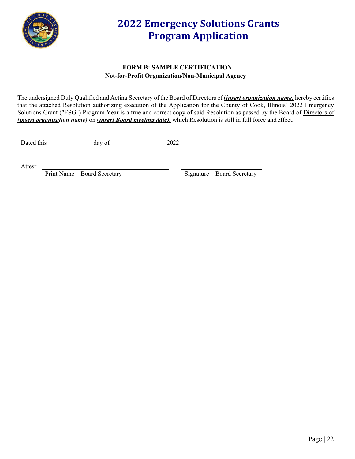

#### **FORM B: SAMPLE CERTIFICATION Not-for-Profit Organization/Non-Municipal Agency**

The undersigned Duly Qualified and Acting Secretary of the Board of Directors of (*insert organization name)* hereby certifies that the attached Resolution authorizing execution of the Application for the County of Cook, Illinois' 2022 Emergency Solutions Grant ("ESG") Program Year is a true and correct copy of said Resolution as passed by the Board of Directors of *(insert organization name)* on (*insert Board meeting date),* which Resolution is still in full force and effect.

Dated this day of 2022

Attest:

Print Name – Board Secretary Signature – Board Secretary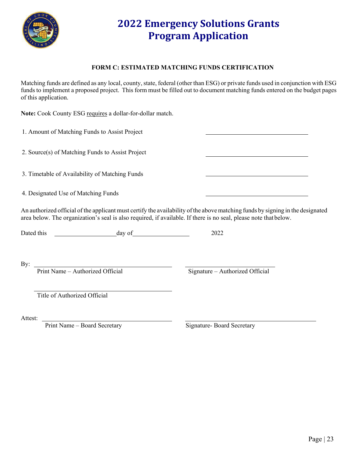

#### **FORM C: ESTIMATED MATCHING FUNDS CERTIFICATION**

Matching funds are defined as any local, county, state, federal (other than ESG) or private funds used in conjunction with ESG funds to implement a proposed project. This form must be filled out to document matching funds entered on the budget pages of this application.

**Note:** Cook County ESG requires a dollar-for-dollar match.

1. Amount of Matching Funds to Assist Project

2. Source(s) of Matching Funds to Assist Project

3. Timetable of Availability of Matching Funds

4. Designated Use of Matching Funds

An authorized official of the applicant must certify the availability of the above matching funds by signing in the designated area below. The organization's seal is also required, if available. If there is no seal, please note thatbelow.

Dated this day of 2022

By:

Print Name – Authorized Official Signature – Authorized Official

Title of Authorized Official

Attest:

Print Name – Board Secretary Signature- Board Secretary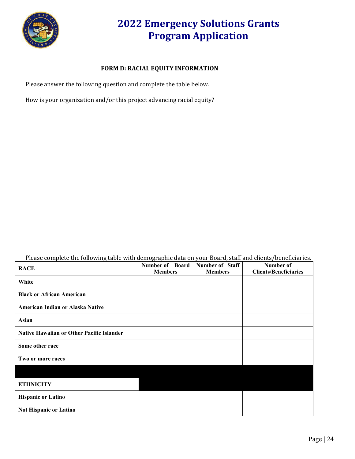

#### **FORM D: RACIAL EQUITY INFORMATION**

Please answer the following question and complete the table below.

How is your organization and/or this project advancing racial equity?

Please complete the following table with demographic data on your Board, staff and clients/beneficiaries.

| <b>RACE</b>                                      | Number of Board<br><b>Members</b> | <b>Number of Staff</b><br><b>Members</b> | Number of<br><b>Clients/Beneficiaries</b> |
|--------------------------------------------------|-----------------------------------|------------------------------------------|-------------------------------------------|
| White                                            |                                   |                                          |                                           |
| <b>Black or African American</b>                 |                                   |                                          |                                           |
| American Indian or Alaska Native                 |                                   |                                          |                                           |
| Asian                                            |                                   |                                          |                                           |
| <b>Native Hawaiian or Other Pacific Islander</b> |                                   |                                          |                                           |
| Some other race                                  |                                   |                                          |                                           |
| Two or more races                                |                                   |                                          |                                           |
|                                                  |                                   |                                          |                                           |
| <b>ETHNICITY</b>                                 |                                   |                                          |                                           |
| <b>Hispanic or Latino</b>                        |                                   |                                          |                                           |
| Not Hispanic or Latino                           |                                   |                                          |                                           |